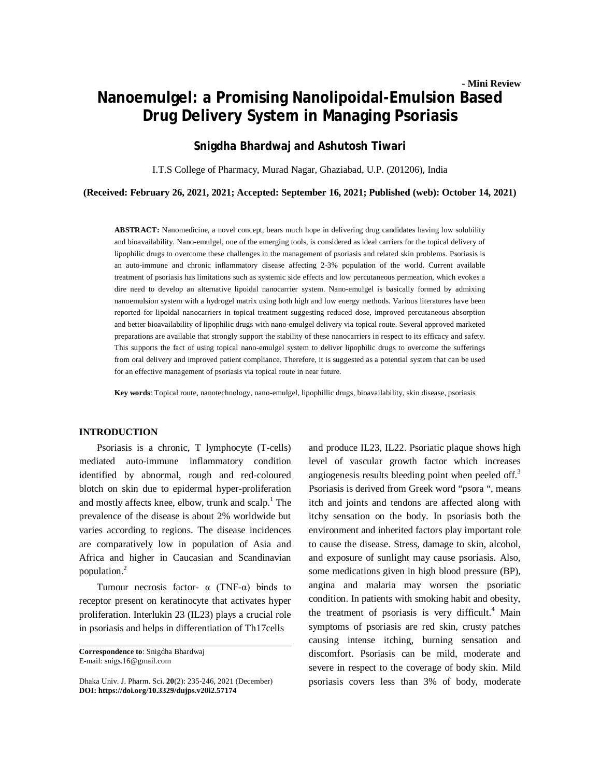# **- Mini Review Nanoemulgel: a Promising Nanolipoidal-Emulsion Based Drug Delivery System in Managing Psoriasis**

## **Snigdha Bhardwaj and Ashutosh Tiwari**

I.T.S College of Pharmacy, Murad Nagar, Ghaziabad, U.P. (201206), India

**(Received: February 26, 2021, 2021; Accepted: September 16, 2021; Published (web): October 14, 2021)**

**ABSTRACT:** Nanomedicine, a novel concept, bears much hope in delivering drug candidates having low solubility and bioavailability. Nano-emulgel, one of the emerging tools, is considered as ideal carriers for the topical delivery of lipophilic drugs to overcome these challenges in the management of psoriasis and related skin problems. Psoriasis is an auto-immune and chronic inflammatory disease affecting 2-3% population of the world. Current available treatment of psoriasis has limitations such as systemic side effects and low percutaneous permeation, which evokes a dire need to develop an alternative lipoidal nanocarrier system. Nano-emulgel is basically formed by admixing nanoemulsion system with a hydrogel matrix using both high and low energy methods. Various literatures have been reported for lipoidal nanocarriers in topical treatment suggesting reduced dose, improved percutaneous absorption and better bioavailability of lipophilic drugs with nano-emulgel delivery via topical route. Several approved marketed preparations are available that strongly support the stability of these nanocarriers in respect to its efficacy and safety. This supports the fact of using topical nano-emulgel system to deliver lipophilic drugs to overcome the sufferings from oral delivery and improved patient compliance. Therefore, it is suggested as a potential system that can be used for an effective management of psoriasis via topical route in near future.

**Key words**: Topical route, nanotechnology, nano-emulgel, lipophillic drugs, bioavailability, skin disease, psoriasis

### **INTRODUCTION**

Psoriasis is a chronic, T lymphocyte (T-cells) mediated auto-immune inflammatory condition identified by abnormal, rough and red-coloured blotch on skin due to epidermal hyper-proliferation and mostly affects knee, elbow, trunk and scalp. <sup>1</sup> The prevalence of the disease is about 2% worldwide but varies according to regions. The disease incidences are comparatively low in population of Asia and Africa and higher in Caucasian and Scandinavian population.<sup>2</sup>

Tumour necrosis factor-  $\alpha$  (TNF- $\alpha$ ) binds to receptor present on keratinocyte that activates hyper proliferation. Interlukin 23 (IL23) plays a crucial role in psoriasis and helps in differentiation of Th17cells

and produce IL23, IL22. Psoriatic plaque shows high level of vascular growth factor which increases angiogenesis results bleeding point when peeled off.<sup>3</sup> Psoriasis is derived from Greek word "psora ", means itch and joints and tendons are affected along with itchy sensation on the body. In psoriasis both the environment and inherited factors play important role to cause the disease. Stress, damage to skin, alcohol, and exposure of sunlight may cause psoriasis. Also, some medications given in high blood pressure (BP), angina and malaria may worsen the psoriatic condition. In patients with smoking habit and obesity, the treatment of psoriasis is very difficult.<sup>4</sup> Main symptoms of psoriasis are red skin, crusty patches causing intense itching, burning sensation and discomfort. Psoriasis can be mild, moderate and severe in respect to the coverage of body skin. Mild psoriasis covers less than 3% of body, moderate

**Correspondence to**: Snigdha Bhardwaj E-mail: [snigs.16@gmail.com](mailto:snigs.16@gmail.com)

Dhaka Univ. J. Pharm. Sci. **20**(2): 235-246, 2021 (December) **DOI:<https://doi.org/10.3329/dujps.v20i2.57174>**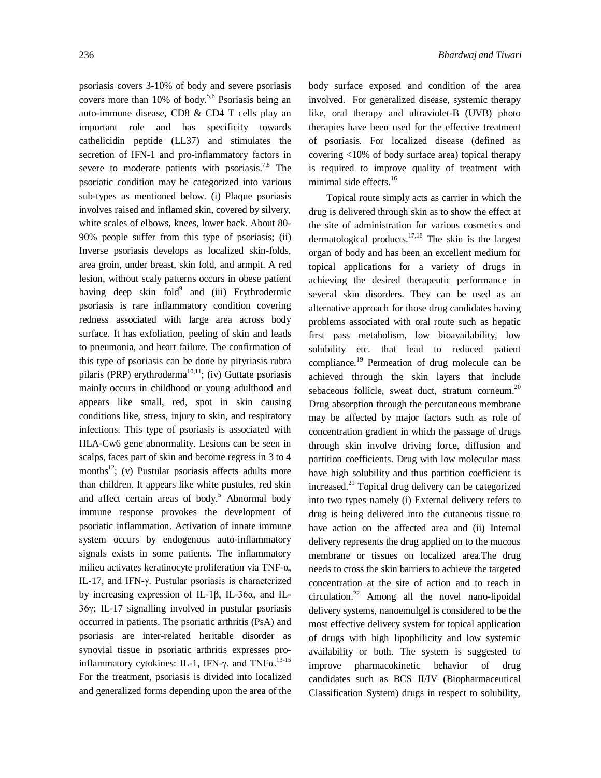psoriasis covers 3-10% of body and severe psoriasis covers more than 10% of body. 5,6 Psoriasis being an auto-immune disease, CD8 & CD4 T cells play an important role and has specificity towards cathelicidin peptide (LL37) and stimulates the secretion of IFN-1 and pro-inflammatory factors in severe to moderate patients with psoriasis.<sup>7,8</sup> The psoriatic condition may be categorized into various sub-types as mentioned below. (i) Plaque psoriasis involves raised and inflamed skin, covered by silvery, white scales of elbows, knees, lower back. About 80- 90% people suffer from this type of psoriasis; (ii) Inverse psoriasis develops as localized skin-folds, area groin, under breast, skin fold, and armpit. A red lesion, without scaly patterns occurs in obese patient having deep skin fold<sup>9</sup> and (iii) Erythrodermic psoriasis is rare inflammatory condition covering redness associated with large area across body surface. It has exfoliation, peeling of skin and leads to pneumonia, and heart failure. The confirmation of this type of psoriasis can be done by pityriasis rubra pilaris (PRP) erythroderma $^{10,11}$ ; (iv) Guttate psoriasis mainly occurs in childhood or young adulthood and appears like small, red, spot in skin causing conditions like, stress, injury to skin, and respiratory infections. This type of psoriasis is associated with HLA-Cw6 gene abnormality. Lesions can be seen in scalps, faces part of skin and become regress in 3 to 4 months<sup>12</sup>; (v) Pustular psoriasis affects adults more than children. It appears like white pustules, red skin and affect certain areas of body.<sup>5</sup> Abnormal body immune response provokes the development of psoriatic inflammation. Activation of innate immune system occurs by endogenous auto-inflammatory signals exists in some patients. The inflammatory milieu activates keratinocyte proliferation via TNF-α, IL-17, and IFN-γ. Pustular psoriasis is characterized by increasing expression of IL-1β, IL-36α, and IL-36γ; IL-17 signalling involved in pustular psoriasis occurred in patients. The psoriatic arthritis (PsA) and psoriasis are inter-related heritable disorder as synovial tissue in psoriatic arthritis expresses proinflammatory cytokines: IL-1, IFN-γ, and TNFα.<sup>13-15</sup> For the treatment, psoriasis is divided into localized and generalized forms depending upon the area of the

body surface exposed and condition of the area involved. For generalized disease, systemic therapy like, oral therapy and ultraviolet-B (UVB) photo therapies have been used for the effective treatment of psoriasis. For localized disease (defined as covering <10% of body surface area) topical therapy is required to improve quality of treatment with minimal side effects. 16

Topical route simply acts as carrier in which the drug is delivered through skin as to show the effect at the site of administration for various cosmetics and dermatological products.<sup>17,18</sup> The skin is the largest organ of body and has been an excellent medium for topical applications for a variety of drugs in achieving the desired therapeutic performance in several skin disorders. They can be used as an alternative approach for those drug candidates having problems associated with oral route such as hepatic first pass metabolism, low bioavailability, low solubility etc. that lead to reduced patient compliance. <sup>19</sup> Permeation of drug molecule can be achieved through the skin layers that include sebaceous follicle, sweat duct, stratum corneum.<sup>20</sup> Drug absorption through the percutaneous membrane may be affected by major factors such as role of concentration gradient in which the passage of drugs through skin involve driving force, diffusion and partition coefficients. Drug with low molecular mass have high solubility and thus partition coefficient is increased. <sup>21</sup> Topical drug delivery can be categorized into two types namely (i) External delivery refers to drug is being delivered into the cutaneous tissue to have action on the affected area and (ii) Internal delivery represents the drug applied on to the mucous membrane or tissues on localized area.The drug needs to cross the skin barriers to achieve the targeted concentration at the site of action and to reach in circulation.<sup>22</sup> Among all the novel nano-lipoidal delivery systems, nanoemulgel is considered to be the most effective delivery system for topical application of drugs with high lipophilicity and low systemic availability or both. The system is suggested to improve pharmacokinetic behavior of drug candidates such as BCS II/IV (Biopharmaceutical Classification System) drugs in respect to solubility,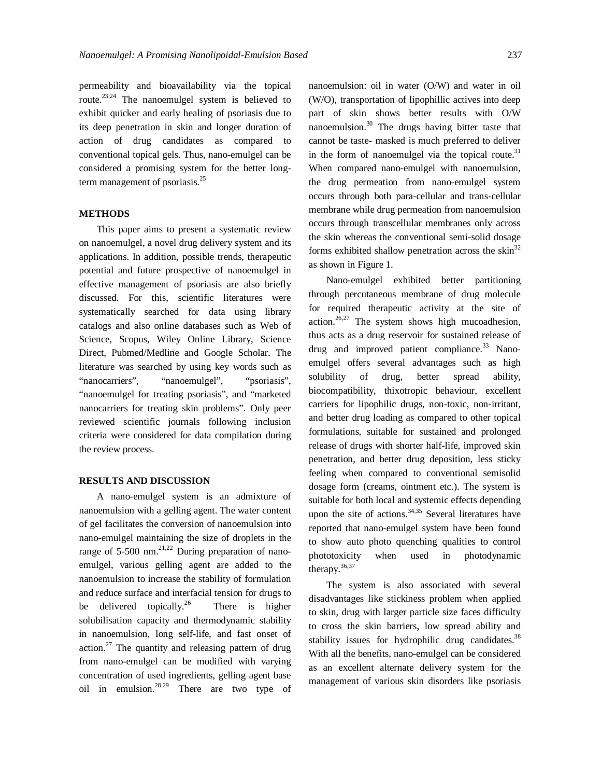permeability and bioavailability via the topical route.<sup>23,24</sup> The nanoemulgel system is believed to exhibit quicker and early healing of psoriasis due to its deep penetration in skin and longer duration of action of drug candidates as compared to conventional topical gels. Thus, nano-emulgel can be considered a promising system for the better longterm management of psoriasis.<sup>25</sup>

#### **METHODS**

This paper aims to present a systematic review on nanoemulgel, a novel drug delivery system and its applications. In addition, possible trends, therapeutic potential and future prospective of nanoemulgel in effective management of psoriasis are also briefly discussed. For this, scientific literatures were systematically searched for data using library catalogs and also online databases such as Web of Science, Scopus, Wiley Online Library, Science Direct, Pubmed/Medline and Google Scholar. The literature was searched by using key words such as "nanocarriers", "nanoemulgel", "psoriasis", "nanoemulgel for treating psoriasis", and "marketed nanocarriers for treating skin problems". Only peer reviewed scientific journals following inclusion criteria were considered for data compilation during the review process.

### **RESULTS AND DISCUSSION**

A nano-emulgel system is an admixture of nanoemulsion with a gelling agent. The water content of gel facilitates the conversion of nanoemulsion into nano-emulgel maintaining the size of droplets in the range of 5-500 nm.<sup>21,22</sup> During preparation of nanoemulgel, various gelling agent are added to the nanoemulsion to increase the stability of formulation and reduce surface and interfacial tension for drugs to be delivered topically. $^{26}$ There is higher solubilisation capacity and thermodynamic stability in nanoemulsion, long self-life, and fast onset of action.<sup>27</sup> The quantity and releasing pattern of drug from nano-emulgel can be modified with varying concentration of used ingredients, gelling agent base oil in emulsion. 28,29 There are two type of nanoemulsion: oil in water (O/W) and water in oil (W/O), transportation of lipophillic actives into deep part of skin shows better results with O/W nanoemulsion. <sup>30</sup> The drugs having bitter taste that cannot be taste- masked is much preferred to deliver in the form of nanoemulgel via the topical route. $31$ When compared nano-emulgel with nanoemulsion, the drug permeation from nano-emulgel system occurs through both para-cellular and trans-cellular membrane while drug permeation from nanoemulsion occurs through transcellular membranes only across the skin whereas the conventional semi-solid dosage forms exhibited shallow penetration across the  $\sin^{32}$ as shown in Figure 1.

Nano-emulgel exhibited better partitioning through percutaneous membrane of drug molecule for required therapeutic activity at the site of action.<sup>26,27</sup> The system shows high mucoadhesion, thus acts as a drug reservoir for sustained release of drug and improved patient compliance.<sup>33</sup> Nanoemulgel offers several advantages such as high solubility of drug, better spread ability, biocompatibility, thixotropic behaviour, excellent carriers for lipophilic drugs, non-toxic, non-irritant, and better drug loading as compared to other topical formulations, suitable for sustained and prolonged release of drugs with shorter half-life, improved skin penetration, and better drug deposition, less sticky feeling when compared to conventional semisolid dosage form (creams, ointment etc.). The system is suitable for both local and systemic effects depending upon the site of actions.  $34,35$  Several literatures have reported that nano-emulgel system have been found to show auto photo quenching qualities to control phototoxicity when used in photodynamic therapy.<sup>36,37</sup>

The system is also associated with several disadvantages like stickiness problem when applied to skin, drug with larger particle size faces difficulty to cross the skin barriers, low spread ability and stability issues for hydrophilic drug candidates.<sup>38</sup> With all the benefits, nano-emulgel can be considered as an excellent alternate delivery system for the management of various skin disorders like psoriasis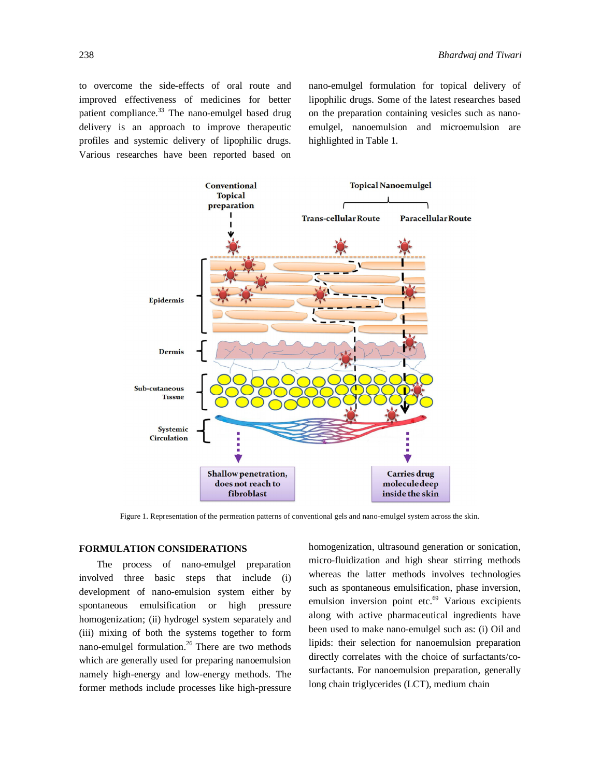to overcome the side-effects of oral route and improved effectiveness of medicines for better patient compliance.<sup>33</sup> The nano-emulgel based drug delivery is an approach to improve therapeutic profiles and systemic delivery of lipophilic drugs. Various researches have been reported based on

nano-emulgel formulation for topical delivery of lipophilic drugs. Some of the latest researches based on the preparation containing vesicles such as nanoemulgel, nanoemulsion and microemulsion are highlighted in Table 1.



Figure 1. Representation of the permeation patterns of conventional gels and nano-emulgel system across the skin.

### **FORMULATION CONSIDERATIONS**

The process of nano-emulgel preparation involved three basic steps that include (i) development of nano-emulsion system either by spontaneous emulsification or high pressure homogenization; (ii) hydrogel system separately and (iii) mixing of both the systems together to form nano-emulgel formulation. $26$  There are two methods which are generally used for preparing nanoemulsion namely high-energy and low-energy methods. The former methods include processes like high-pressure homogenization, ultrasound generation or sonication, micro-fluidization and high shear stirring methods whereas the latter methods involves technologies such as spontaneous emulsification, phase inversion, emulsion inversion point etc.<sup>69</sup> Various excipients along with active pharmaceutical ingredients have been used to make nano-emulgel such as: (i) Oil and lipids: their selection for nanoemulsion preparation directly correlates with the choice of surfactants/cosurfactants. For nanoemulsion preparation, generally long chain triglycerides (LCT), medium chain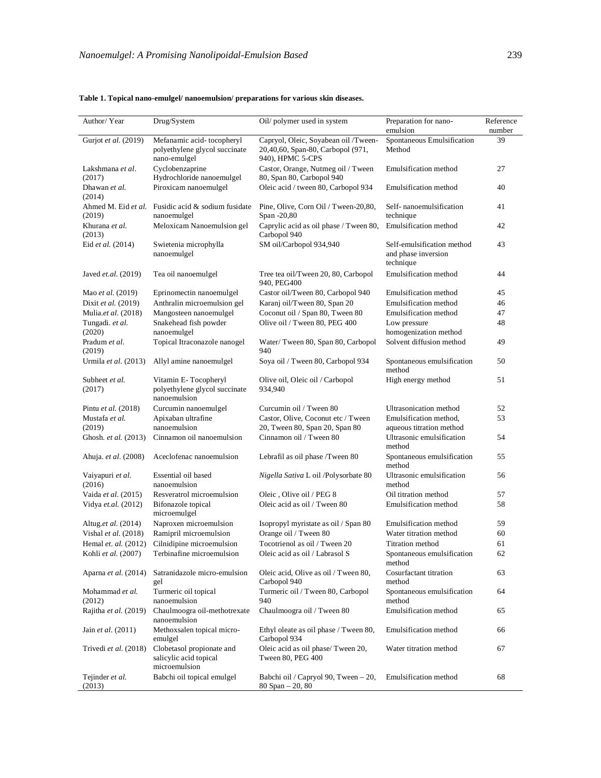| Author/Year                   | Drug/System                                                                | Oil/ polymer used in system                                                                   | Preparation for nano-<br>emulsion                              | Reference<br>number |
|-------------------------------|----------------------------------------------------------------------------|-----------------------------------------------------------------------------------------------|----------------------------------------------------------------|---------------------|
| Gurjot et al. (2019)          | Mefanamic acid-tocopheryl<br>polyethylene glycol succinate<br>nano-emulgel | Capryol, Oleic, Soyabean oil /Tween-<br>20,40,60, Span-80, Carbopol (971,<br>940), HPMC 5-CPS | Spontaneous Emulsification<br>Method                           | 39                  |
| Lakshmana et al.<br>(2017)    | Cyclobenzaprine<br>Hydrochloride nanoemulgel                               | Castor, Orange, Nutmeg oil / Tween<br>80, Span 80, Carbopol 940                               | Emulsification method                                          | 27                  |
| Dhawan et al.<br>(2014)       | Piroxicam nanoemulgel                                                      | Oleic acid / tween 80, Carbopol 934                                                           | Emulsification method                                          | 40                  |
| (2019)                        | Ahmed M. Eid et al. Fusidic acid & sodium fusidate<br>nanoemulgel          | Pine, Olive, Corn Oil / Tween-20,80,<br>Span -20,80                                           | Self-nanoemulsification<br>technique                           | 41                  |
| Khurana et al.<br>(2013)      | Meloxicam Nanoemulsion gel                                                 | Caprylic acid as oil phase / Tween 80,<br>Carbopol 940                                        | Emulsification method                                          | 42                  |
| Eid et al. (2014)             | Swietenia microphylla<br>nanoemulgel                                       | SM oil/Carbopol 934,940                                                                       | Self-emulsification method<br>and phase inversion<br>technique | 43                  |
| Javed et.al. (2019)           | Tea oil nanoemulgel                                                        | Tree tea oil/Tween 20, 80, Carbopol<br>940, PEG400                                            | Emulsification method                                          | 44                  |
| Mao et al. (2019)             | Eprinomectin nanoemulgel                                                   | Castor oil/Tween 80, Carbopol 940                                                             | Emulsification method                                          | 45                  |
| Dixit et al. (2019)           | Anthralin microemulsion gel                                                | Karanj oil/Tween 80, Span 20                                                                  | Emulsification method                                          | 46                  |
| Mulia.et al. (2018)           | Mangosteen nanoemulgel                                                     | Coconut oil / Span 80, Tween 80                                                               | Emulsification method                                          | 47                  |
| Tungadi. et al.<br>(2020)     | Snakehead fish powder<br>nanoemulgel                                       | Olive oil / Tween 80, PEG 400                                                                 | Low pressure<br>homogenization method                          | 48                  |
| Pradum et al.<br>(2019)       | Topical Itraconazole nanogel                                               | Water/Tween 80, Span 80, Carbopol<br>940                                                      | Solvent diffusion method                                       | 49                  |
| Urmila et al. (2013)          | Allyl amine nanoemulgel                                                    | Soya oil / Tween 80, Carbopol 934                                                             | Spontaneous emulsification<br>method                           | 50                  |
| Subheet et al.<br>(2017)      | Vitamin E-Tocopheryl<br>polyethylene glycol succinate<br>nanoemulsion      | Olive oil, Oleic oil / Carbopol<br>934,940                                                    | High energy method                                             | 51                  |
| Pintu et al. (2018)           | Curcumin nanoemulgel                                                       | Curcumin oil / Tween 80                                                                       | Ultrasonication method                                         | 52                  |
| Mustafa et al.<br>(2019)      | Apixaban ultrafine<br>nanoemulsion                                         | Castor, Olive, Coconut etc / Tween<br>20, Tween 80, Span 20, Span 80                          | Emulsification method,<br>aqueous titration method             | 53                  |
| Ghosh. et al. (2013)          | Cinnamon oil nanoemulsion                                                  | Cinnamon oil / Tween 80                                                                       | Ultrasonic emulsification<br>method                            | 54                  |
| Ahuja. <i>et al.</i> (2008)   | Aceclofenac nanoemulsion                                                   | Lebrafil as oil phase /Tween 80                                                               | Spontaneous emulsification<br>method                           | 55                  |
| Vaiyapuri et al.<br>(2016)    | Essential oil based<br>nanoemulsion                                        | Nigella Sativa L oil /Polysorbate 80                                                          | Ultrasonic emulsification<br>method                            | 56                  |
| Vaida et al. (2015)           | Resveratrol microemulsion                                                  | Oleic, Olive oil / PEG 8                                                                      | Oil titration method                                           | 57                  |
| Vidya et.al. (2012)           | Bifonazole topical<br>microemulgel                                         | Oleic acid as oil / Tween 80                                                                  | Emulsification method                                          | 58                  |
| Altug.et al. (2014)           | Naproxen microemulsion                                                     | Isopropyl myristate as oil / Span 80                                                          | Emulsification method                                          | 59                  |
| Vishal et al. (2018)          | Ramipril microemulsion                                                     | Orange oil / Tween 80                                                                         | Water titration method                                         | 60                  |
| Hemal <i>et. al.</i> $(2012)$ | Cilnidipine microemulsion                                                  | Tocotrienol as oil / Tween 20                                                                 | Titration method                                               | 61                  |
| Kohli et al. (2007)           | Terbinafine microemulsion                                                  | Oleic acid as oil / Labrasol S                                                                | Spontaneous emulsification<br>method                           | 62                  |
| Aparna <i>et al.</i> (2014)   | Satranidazole micro-emulsion<br>gel                                        | Oleic acid, Olive as oil / Tween 80,<br>Carbopol 940                                          | Cosurfactant titration<br>method                               | 63                  |
| Mohammad et al.<br>(2012)     | Turmeric oil topical<br>nanoemulsion                                       | Turmeric oil / Tween 80, Carbopol<br>940                                                      | Spontaneous emulsification<br>method                           | 64                  |
| Rajitha et al. (2019)         | Chaulmoogra oil-methotrexate<br>nanoemulsion                               | Chaulmoogra oil / Tween 80                                                                    | Emulsification method                                          | 65                  |
| Jain et al. (2011)            | Methoxsalen topical micro-<br>emulgel                                      | Ethyl oleate as oil phase / Tween 80,<br>Carbopol 934                                         | Emulsification method                                          | 66                  |
| Trivedi et al. (2018)         | Clobetasol propionate and<br>salicylic acid topical<br>microemulsion       | Oleic acid as oil phase/Tween 20,<br>Tween 80, PEG 400                                        | Water titration method                                         | 67                  |
| Tejinder et al.<br>(2013)     | Babchi oil topical emulgel                                                 | Babchi oil / Capryol 90, Tween $-20$ ,<br>$80$ Span $- 20, 80$                                | Emulsification method                                          | 68                  |

### **Table 1. Topical nano-emulgel/ nanoemulsion/ preparations for various skin diseases.**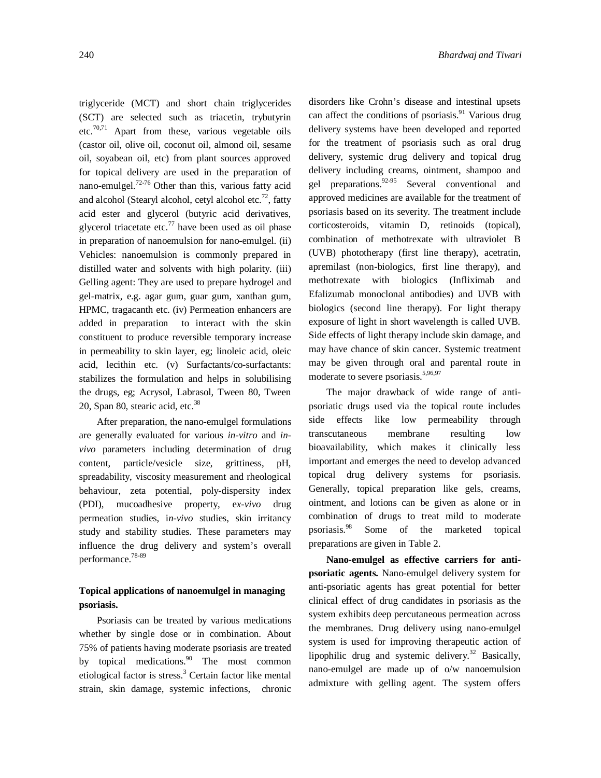triglyceride (MCT) and short chain triglycerides (SCT) are selected such as triacetin, trybutyrin etc.<sup>70,71</sup> Apart from these, various vegetable oils (castor oil, olive oil, coconut oil, almond oil, sesame oil, soyabean oil, etc) from plant sources approved for topical delivery are used in the preparation of nano-emulgel. $72-76$  Other than this, various fatty acid and alcohol (Stearyl alcohol, cetyl alcohol etc.<sup>72</sup>, fatty acid ester and glycerol (butyric acid derivatives, glycerol triacetate etc. $\frac{77}{2}$  have been used as oil phase in preparation of nanoemulsion for nano-emulgel. (ii) Vehicles: nanoemulsion is commonly prepared in distilled water and solvents with high polarity. (iii) Gelling agent: They are used to prepare hydrogel and gel-matrix, e.g. agar gum, guar gum, xanthan gum, HPMC, tragacanth etc. (iv) Permeation enhancers are added in preparation to interact with the skin constituent to produce reversible temporary increase in permeability to skin layer, eg; linoleic acid, oleic acid, lecithin etc. (v) Surfactants/co-surfactants: stabilizes the formulation and helps in solubilising the drugs, eg; Acrysol, Labrasol, Tween 80, Tween 20, Span 80, stearic acid, etc.<sup>38</sup>

After preparation, the nano-emulgel formulations are generally evaluated for various *in-vitro* and *invivo* parameters including determination of drug content, particle/vesicle size, grittiness, pH, spreadability, viscosity measurement and rheological behaviour, zeta potential, poly-dispersity index (PDI), mucoadhesive property, e*x-vivo* drug permeation studies, i*n-vivo* studies, skin irritancy study and stability studies. These parameters may influence the drug delivery and system's overall performance.78-89

### **Topical applications of nanoemulgel in managing psoriasis.**

Psoriasis can be treated by various medications whether by single dose or in combination. About 75% of patients having moderate psoriasis are treated by topical medications.<sup>90</sup> The most common etiological factor is stress. <sup>3</sup> Certain factor like mental strain, skin damage, systemic infections, chronic

disorders like Crohn's disease and intestinal upsets can affect the conditions of psoriasis.<sup>91</sup> Various drug delivery systems have been developed and reported for the treatment of psoriasis such as oral drug delivery, systemic drug delivery and topical drug delivery including creams, ointment, shampoo and gel preparations.<sup>92-95</sup> Several conventional and approved medicines are available for the treatment of psoriasis based on its severity. The treatment include corticosteroids, vitamin D, retinoids (topical), combination of methotrexate with ultraviolet B (UVB) phototherapy (first line therapy), acetratin, apremilast (non-biologics, first line therapy), and methotrexate with biologics (Infliximab and Efalizumab monoclonal antibodies) and UVB with biologics (second line therapy). For light therapy exposure of light in short wavelength is called UVB. Side effects of light therapy include skin damage, and may have chance of skin cancer. Systemic treatment may be given through oral and parental route in moderate to severe psoriasis.<sup>5,96,97</sup>

The major drawback of wide range of antipsoriatic drugs used via the topical route includes side effects like low permeability through transcutaneous membrane resulting low bioavailability, which makes it clinically less important and emerges the need to develop advanced topical drug delivery systems for psoriasis. Generally, topical preparation like gels, creams, ointment, and lotions can be given as alone or in combination of drugs to treat mild to moderate psoriasis.<sup>98</sup> Some of the marketed topical preparations are given in Table 2.

**Nano-emulgel as effective carriers for antipsoriatic agents.** Nano-emulgel delivery system for anti-psoriatic agents has great potential for better clinical effect of drug candidates in psoriasis as the system exhibits deep percutaneous permeation across the membranes. Drug delivery using nano-emulgel system is used for improving therapeutic action of lipophilic drug and systemic delivery.<sup>32</sup> Basically, nano-emulgel are made up of o/w nanoemulsion admixture with gelling agent. The system offers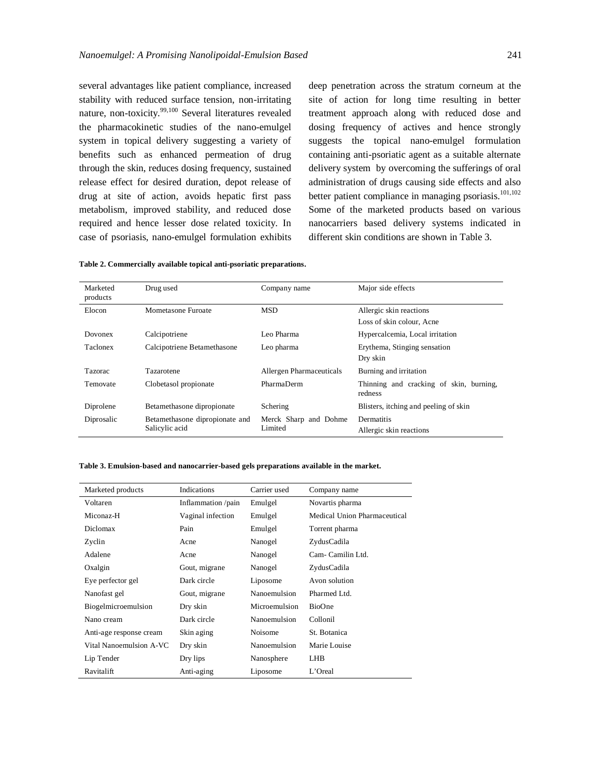several advantages like patient compliance, increased stability with reduced surface tension, non-irritating nature, non-toxicity.<sup>99,100</sup> Several literatures revealed the pharmacokinetic studies of the nano-emulgel system in topical delivery suggesting a variety of benefits such as enhanced permeation of drug through the skin, reduces dosing frequency, sustained release effect for desired duration, depot release of drug at site of action, avoids hepatic first pass metabolism, improved stability, and reduced dose required and hence lesser dose related toxicity. In case of psoriasis, nano-emulgel formulation exhibits

deep penetration across the stratum corneum at the site of action for long time resulting in better treatment approach along with reduced dose and dosing frequency of actives and hence strongly suggests the topical nano-emulgel formulation containing anti-psoriatic agent as a suitable alternate delivery system by overcoming the sufferings of oral administration of drugs causing side effects and also better patient compliance in managing psoriasis.<sup>101,102</sup> Some of the marketed products based on various nanocarriers based delivery systems indicated in different skin conditions are shown in Table 3.

| Table 2. Commercially available topical anti-psoriatic preparations. |  |  |  |
|----------------------------------------------------------------------|--|--|--|
|----------------------------------------------------------------------|--|--|--|

| Marketed<br>products | Drug used                      | Company name             | Major side effects                                 |
|----------------------|--------------------------------|--------------------------|----------------------------------------------------|
| Elocon               | Mometasone Furoate             | <b>MSD</b>               | Allergic skin reactions                            |
|                      |                                |                          | Loss of skin colour. Acne                          |
| Dovonex              | Calcipotriene                  | Leo Pharma               | Hypercalcemia, Local irritation                    |
| Taclonex             | Calcipotriene Betamethasone    | Leo pharma               | Erythema, Stinging sensation                       |
|                      |                                |                          | Dry skin                                           |
| Tazorac              | Tazarotene                     | Allergen Pharmaceuticals | Burning and irritation                             |
| Temovate             | Clobetasol propionate          | PharmaDerm               | Thinning and cracking of skin, burning,<br>redness |
| Diprolene            | Betamethasone dipropionate     | Schering                 | Blisters, itching and peeling of skin              |
| Diprosalic           | Betamethasone dipropionate and | Merck Sharp and Dohme    | Dermatitis                                         |
|                      | Salicylic acid                 | Limited                  | Allergic skin reactions                            |

**Table 3. Emulsion-based and nanocarrier-based gels preparations available in the market.**

| Marketed products       | Indications        | Carrier used  | Company name                 |
|-------------------------|--------------------|---------------|------------------------------|
| Voltaren                | Inflammation /pain | Emulgel       | Novartis pharma              |
| Miconaz-H               | Vaginal infection  | Emulgel       | Medical Union Pharmaceutical |
| <b>Diclomax</b>         | Pain               | Emulgel       | Torrent pharma               |
| Zyclin                  | Acne               | Nanogel       | ZydusCadila                  |
| Adalene                 | Acne               | Nanogel       | Cam-Camilin Ltd.             |
| Oxalgin                 | Gout, migrane      | Nanogel       | ZydusCadila                  |
| Eye perfector gel       | Dark circle        | Liposome      | Avon solution                |
| Nanofast gel            | Gout, migrane      | Nanoemulsion  | Pharmed Ltd.                 |
| Biogelmicroemulsion     | Dry skin           | Microemulsion | BioOne                       |
| Nano cream              | Dark circle        | Nanoemulsion  | Collonil                     |
| Anti-age response cream | Skin aging         | Noisome       | St. Botanica                 |
| Vital Nanoemulsion A-VC | Dry skin           | Nanoemulsion  | Marie Louise                 |
| Lip Tender              | Dry lips           | Nanosphere    | <b>LHB</b>                   |
| Ravitalift              | Anti-aging         | Liposome      | L'Oreal                      |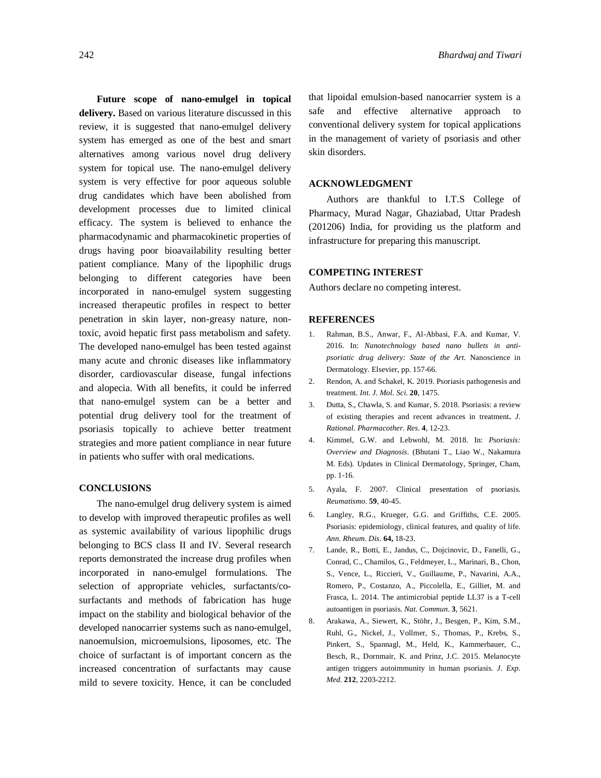**Future scope of nano-emulgel in topical delivery.** Based on various literature discussed in this review, it is suggested that nano-emulgel delivery system has emerged as one of the best and smart alternatives among various novel drug delivery system for topical use. The nano-emulgel delivery system is very effective for poor aqueous soluble drug candidates which have been abolished from development processes due to limited clinical efficacy. The system is believed to enhance the pharmacodynamic and pharmacokinetic properties of drugs having poor bioavailability resulting better patient compliance. Many of the lipophilic drugs belonging to different categories have been incorporated in nano-emulgel system suggesting increased therapeutic profiles in respect to better penetration in skin layer, non-greasy nature, nontoxic, avoid hepatic first pass metabolism and safety. The developed nano-emulgel has been tested against many acute and chronic diseases like inflammatory disorder, cardiovascular disease, fungal infections and alopecia. With all benefits, it could be inferred that nano-emulgel system can be a better and potential drug delivery tool for the treatment of psoriasis topically to achieve better treatment strategies and more patient compliance in near future in patients who suffer with oral medications.

# **CONCLUSIONS**

The nano-emulgel drug delivery system is aimed to develop with improved therapeutic profiles as well as systemic availability of various lipophilic drugs belonging to BCS class II and IV. Several research reports demonstrated the increase drug profiles when incorporated in nano-emulgel formulations. The selection of appropriate vehicles, surfactants/cosurfactants and methods of fabrication has huge impact on the stability and biological behavior of the developed nanocarrier systems such as nano-emulgel, nanoemulsion, microemulsions, liposomes, etc. The choice of surfactant is of important concern as the increased concentration of surfactants may cause mild to severe toxicity. Hence, it can be concluded

that lipoidal emulsion-based nanocarrier system is a safe and effective alternative approach to conventional delivery system for topical applications in the management of variety of psoriasis and other skin disorders.

### **ACKNOWLEDGMENT**

Authors are thankful to I.T.S College of Pharmacy, Murad Nagar, Ghaziabad, Uttar Pradesh (201206) India, for providing us the platform and infrastructure for preparing this manuscript.

### **COMPETING INTEREST**

Authors declare no competing interest.

### **REFERENCES**

- 1. Rahman, B.S., Anwar, F., Al-Abbasi, F.A. and Kumar, V. 2016. In: *Nanotechnology based nano bullets in antipsoriatic drug delivery: State of the Art*. Nanoscience in Dermatology. Elsevier, pp. 157-66.
- 2. Rendon, A. and Schakel, K. 2019. Psoriasis pathogenesis and treatment. *Int. J. Mol. Sci.* **20**, 1475.
- 3. Dutta, S., Chawla, S. and Kumar, S. 2018. Psoriasis: a review of existing therapies and recent advances in treatment**.** *J. Rational. Pharmacother. Res*. **4**, 12-23.
- 4. Kimmel, G.W. and Lebwohl, M. 2018. In: *Psoriasis: Overview and Diagnosis*. (Bhutani T., Liao W., Nakamura M. Eds). Updates in Clinical Dermatology, Springer, Cham, pp. 1-16.
- 5. Ayala, F. 2007. Clinical presentation of psoriasis. *Reumatismo*. **59**, 40-45.
- 6. Langley, R.G., Krueger, G.G. and Griffiths, C.E. 2005. Psoriasis: epidemiology, clinical features, and quality of life. *Ann. Rheum. Dis*. **64,** 18-23.
- 7. Lande, R., Botti, E., Jandus, C., Dojcinovic, D., Fanelli, G., Conrad, C., Chamilos, G., Feldmeyer, L., Marinari, B., Chon, S., Vence, L., Riccieri, V., Guillaume, P., Navarini, A.A., Romero, P., Costanzo, A., Piccolella, E., Gilliet, M. and Frasca, L. 2014. The antimicrobial peptide LL37 is a T-cell autoantigen in psoriasis. *Nat. Commun*. **3**, 5621.
- 8. Arakawa, A., Siewert, K., Stöhr, J., Besgen, P., Kim, S.M., Ruhl, G., Nickel, J., Vollmer, S., Thomas, P., Krebs, S., Pinkert, S., Spannagl, M., Held, K., Kammerbauer, C., Besch, R., Dornmair, K. and Prinz, J.C. 2015. Melanocyte antigen triggers autoimmunity in human psoriasis. *J. Exp. Med.* **212**, 2203-2212.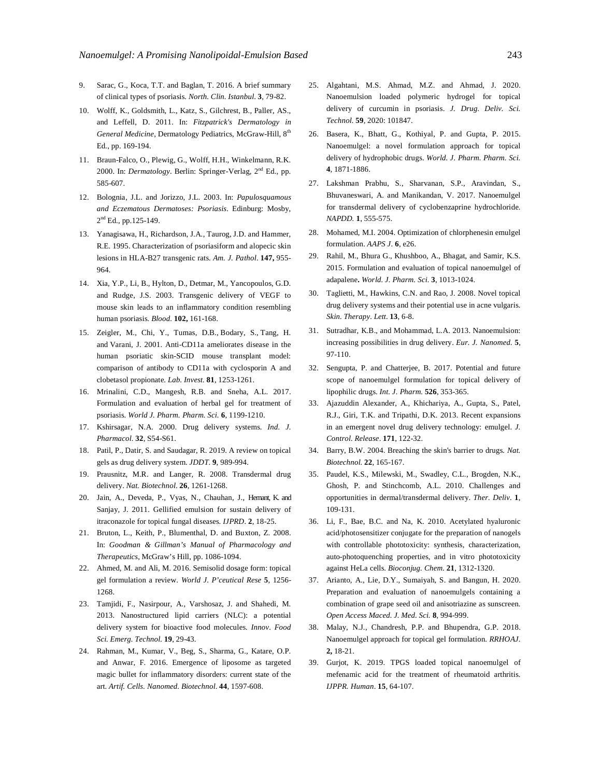- 9. Sarac, G., Koca, T.T. and Baglan, T. 2016. A brief summary of clinical types of psoriasis. *North. Clin. Istanbul*. **3**, 79-82.
- 10. Wolff, K., Goldsmith, L., Katz, S., Gilchrest, B., Paller, AS., and Leffell, D. 2011. In: *Fitzpatrick's Dermatology in*  General Medicine, Dermatology Pediatrics, McGraw-Hill, 8<sup>th</sup> Ed., pp. 169-194.
- 11. Braun-Falco, O., Plewig, G., Wolff, H.H., Winkelmann, R.K. 2000. In: *Dermatology*. Berlin: Springer-Verlag, 2<sup>nd</sup> Ed., pp. 585-607.
- 12. Bolognia, J.L. and Jorizzo, J.L. 2003. In: *Papulosquamous and Eczematous Dermatoses: Psoriasis*. Edinburg: Mosby, 2<sup>nd</sup> Ed., pp.125-149.
- 13. Yanagisawa, H., Richardson, J.A., Taurog, J.D. and Hammer, R.E. 1995. Characterization of psoriasiform and alopecic skin lesions in HLA-B27 transgenic rats. *Am. J. Pathol*. **147,** 955- 964.
- 14. Xia, Y.P., Li, B., Hylton, D., Detmar, M., Yancopoulos, G.D. and Rudge, J.S. 2003. Transgenic delivery of VEGF to mouse skin leads to an inflammatory condition resembling human psoriasis. *Blood.* **102,** 161-168.
- 15. Zeigler, M., Chi, Y., Tumas, D.B., Bodary, S., Tang, H. and Varani, J. 2001. Anti-CD11a ameliorates disease in the human psoriatic skin-SCID mouse transplant model: comparison of antibody to CD11a with cyclosporin A and clobetasol propionate. *Lab. Invest.* **81**, 1253-1261.
- 16. Mrinalini, C.D., Mangesh, R.B. and Sneha, A.L. 2017. Formulation and evaluation of herbal gel for treatment of psoriasis. *World J. Pharm. Pharm. Sci.* **6**, 1199-1210.
- 17. Kshirsagar, N.A. 2000. Drug delivery systems. *Ind. J. Pharmacol.* **32**, S54-S61.
- 18. Patil, P., Datir, S. and Saudagar, R. 2019. A review on topical gels as drug delivery system. *JDDT*. **9**, 989-994.
- 19. Prausnitz, M.R. and Langer, R. 2008. Transdermal drug delivery. *Nat. Biotechnol*. **26**, 1261-1268.
- 20. Jain, A., Deveda, P., Vyas, N., Chauhan, J., Hemant, K. and Sanjay, J. 2011. Gellified emulsion for sustain delivery of itraconazole for topical fungal diseases. *IJPRD.* **2**, 18-25.
- 21. Bruton, L., Keith, P., Blumenthal, D. and Buxton, Z. 2008. In: *Goodman & Gillman's Manual of Pharmacology and Therapeutics*, McGraw's Hill, pp. 1086-1094.
- 22. Ahmed, M. and Ali, M. 2016. Semisolid dosage form: topical gel formulation a review. *World J. P'ceutical Rese* **5**, 1256- 1268.
- 23. Tamjidi, F., Nasirpour, A., Varshosaz, J. and Shahedi, M. 2013. Nanostructured lipid carriers (NLC): a potential delivery system for bioactive food molecules. *Innov. Food Sci. Emerg. Technol.* **19**, 29-43.
- 24. Rahman, M., Kumar, V., Beg, S., Sharma, G., Katare, O.P. and Anwar, F. 2016. Emergence of liposome as targeted magic bullet for inflammatory disorders: current state of the art. *Artif. Cells. Nanomed. Biotechnol*. **44**, 1597-608.
- 25. Algahtani, M.S. Ahmad, M.Z. and Ahmad, J. 2020. Nanoemulsion loaded polymeric hydrogel for topical delivery of curcumin in psoriasis. *J. Drug. Deliv. Sci. Technol.* **59**, 2020: 101847.
- 26. Basera, K., Bhatt, G., Kothiyal, P. and Gupta, P. 2015. Nanoemulgel: a novel formulation approach for topical delivery of hydrophobic drugs. *World. J. Pharm. Pharm. Sci.* **4**, 1871-1886.
- 27. Lakshman Prabhu, S., Sharvanan, S.P., Aravindan, S., Bhuvaneswari, A. and Manikandan, V. 2017. Nanoemulgel for transdermal delivery of cyclobenzaprine hydrochloride. *NAPDD.* **1**, 555-575.
- 28. Mohamed, M.I. 2004. Optimization of chlorphenesin emulgel formulation. *AAPS J*. **6**, e26.
- 29. Rahil, M., Bhura G., Khushboo, A., Bhagat, and Samir, K.S. 2015. Formulation and evaluation of topical nanoemulgel of adapalene**.** *World. J. Pharm. Sci.* **3**, 1013-1024.
- 30. Taglietti, M., Hawkins, C.N. and Rao, J. 2008. Novel topical drug delivery systems and their potential use in acne vulgaris. *Skin. Therapy. Lett*. **13**, 6-8.
- 31. Sutradhar, K.B., and Mohammad, L.A. 2013. Nanoemulsion: increasing possibilities in drug delivery. *Eur. J. Nanomed.* **5**, 97-110.
- 32. Sengupta, P. and Chatterjee, B. 2017. Potential and future scope of nanoemulgel formulation for topical delivery of lipophilic drugs. *Int. J. Pharm.* **526**, 353-365.
- 33. Ajazuddin Alexander, A., Khichariya, A., Gupta, S., Patel, R.J., Giri, T.K. and Tripathi, D.K. 2013. Recent expansions in an emergent novel drug delivery technology: emulgel. *J. Control. Release*. **171**, 122-32.
- 34. Barry, B.W. 2004. Breaching the skin's barrier to drugs. *Nat. Biotechnol.* **22**, 165-167.
- 35. Paudel, K.S., Milewski, M., Swadley, C.L., Brogden, N.K., Ghosh, P. and Stinchcomb, A.L. 2010. Challenges and opportunities in dermal/transdermal delivery. *Ther. Deliv*. **1**, 109-131.
- 36. Li, F., Bae, B.C. and Na, K. 2010. Acetylated hyaluronic acid/photosensitizer conjugate for the preparation of nanogels with controllable phototoxicity: synthesis, characterization, auto-photoquenching properties, and in vitro phototoxicity against HeLa cells. *Bioconjug. Chem.* **21**, 1312-1320.
- 37. Arianto, A., Lie, D.Y., Sumaiyah, S. and Bangun, H. 2020. Preparation and evaluation of nanoemulgels containing a combination of grape seed oil and anisotriazine as sunscreen. *Open Access Maced. J. Med. Sci.* **8**, 994-999.
- 38. Malay, N.J., Chandresh, P.P. and Bhupendra, G.P. 2018. Nanoemulgel approach for topical gel formulation. *RRHOAJ*. **2,** 18-21.
- 39. Gurjot, K. 2019. TPGS loaded topical nanoemulgel of mefenamic acid for the treatment of rheumatoid arthritis. *IJPPR. Human*. **15**, 64-107.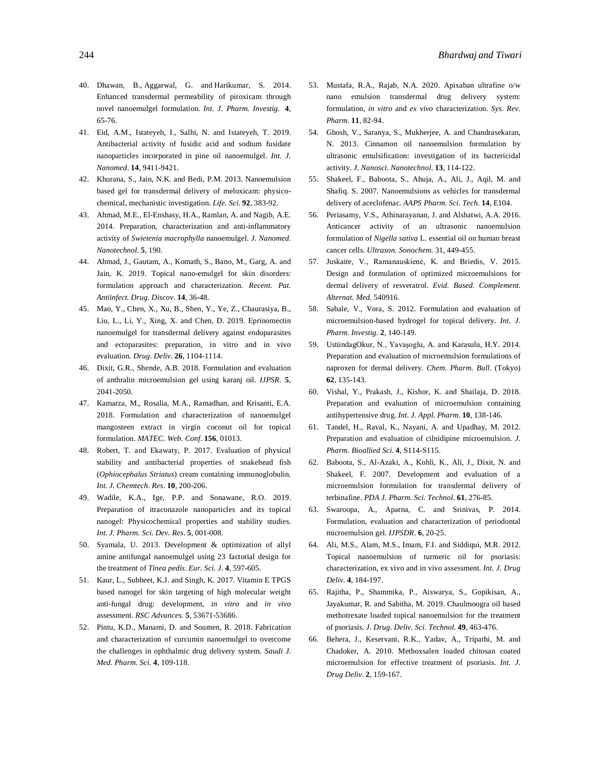- 40. Dhawan, B., Aggarwal, G. and Harikumar, S. 2014. Enhanced transdermal permeability of piroxicam through novel nanoemulgel formulation. *Int. J. Pharm. Investig.* **4**, 65-76.
- 41. Eid, A.M., Istateyeh, I., Salhi, N. and Istateyeh, T. 2019. Antibacterial activity of fusidic acid and sodium fusidate nanoparticles incorporated in pine oil nanoemulgel. *Int. J. Nanomed*. **14**, 9411-9421.
- 42. Khurana, S., Jain, N.K. and Bedi, P.M. 2013. Nanoemulsion based gel for transdermal delivery of meloxicam: physicochemical, mechanistic investigation. *Life. Sci.* **92**, 383-92.
- 43. Ahmad, M.E., El-Enshasy, H.A., Ramlan, A. and Nagib, A.E. 2014. Preparation, characterization and anti-inflammatory activity of *Swietenia macrophylla* nanoemulgel. *J. Nanomed. Nanotechnol.* **5**, 190.
- 44. Ahmad, J., Gautam, A., Komath, S., Bano, M., Garg, A. and Jain, K. 2019. Topical nano-emulgel for skin disorders: formulation approach and characterization. *Recent. Pat. Antiinfect. Drug. Discov*. **14**, 36-48.
- 45. Mao, Y., Chen, X., Xu, B., Shen, Y., Ye, Z., Chaurasiya, B., Liu, L., Li, Y., Xing, X. and Chen, D. 2019. Eprinomectin nanoemulgel for transdermal delivery against endoparasites and ectoparasites: preparation, in vitro and in vivo evaluation. *Drug. Deliv.* **26**, 1104-1114.
- 46. Dixit, G.R., Shende, A.B. 2018. Formulation and evaluation of anthralin microemulsion gel using karanj oil. *IJPSR.* **5**, 2041-2050.
- 47. Kamarza, M., Rosalia, M.A., Ramadhan, and Krisanti, E.A. 2018. Formulation and characterization of nanoemulgel mangosteen extract in virgin coconut oil for topical formulation. *MATEC. Web. Conf.* **156**, 01013.
- 48. Robert, T. and Ekawaty, P. 2017. Evaluation of physical stability and antibacterial properties of snakehead fish (*Ophiocephalus Striatus*) cream containing immunoglobulin. *Int. J. Chemtech. Res*. **10**, 200-206.
- 49. Wadile, K.A., Ige, P.P. and Sonawane, R.O. 2019. Preparation of itraconazole nanoparticles and its topical nanogel: Physicochemical properties and stability studies. *Int. J. Pharm. Sci. Dev. Res*. **5**, 001-008.
- 50. Syamala, U. 2013. Development & optimization of allyl amine antifungal nanoemulgel using 23 factorial design for the treatment of *Tinea pedis*. *Eur. Sci. J.* **4**, 597-605.
- 51. Kaur, L., Subheet, K.J. and Singh, K. 2017. Vitamin E TPGS based nanogel for skin targeting of high molecular weight anti-fungal drug: development, *in vitro* and *in vivo* assessment. *RSC Advances.* **5**, 53671-53686.
- 52. Pintu, K.D., Manami, D. and Soumen, R. 2018. Fabrication and characterization of curcumin nanoemulgel to overcome the challenges in ophthalmic drug delivery system. *Saudi J. Med. Pharm. Sci*. **4**, 109-118.
- 53. Mustafa, R.A., Rajab, N.A. 2020. Apixaban ultrafine o/w nano emulsion transdermal drug delivery system: formulation, *in vitro* and *ex vivo* characterization. *Sys. Rev. Pharm.* **11**, 82-94.
- 54. Ghosh, V., Saranya, S., Mukherjee, A. and Chandrasekaran, N. 2013. Cinnamon oil nanoemulsion formulation by ultrasonic emulsification: investigation of its bactericidal activity. *J. Nanosci. Nanotechnol*. **13**, 114-122.
- 55. Shakeel, F., Baboota, S., Ahuja, A., Ali, J., Aqil, M. and Shafiq. S. 2007. Nanoemulsions as vehicles for transdermal delivery of aceclofenac. *AAPS Pharm. Sci. Tech.* **14**, E104.
- 56. Periasamy, V.S., Athinarayanan, J. and Alshatwi, A.A. 2016. Anticancer activity of an ultrasonic nanoemulsion formulation of *Nigella sativa* L. essential oil on human breast cancer cells. *Ultrason. Sonochem.* 31, 449-455.
- 57. Juskaite, V., Ramanauskienė, K. and Briedis, V. 2015. Design and formulation of optimized microemulsions for dermal delivery of resveratrol. *Evid. Based. Complement. Alternat. Med.* 540916.
- 58. Sabale, V., Vora, S. 2012. Formulation and evaluation of microemulsion-based hydrogel for topical delivery. *Int. J. Pharm. Investig.* **2**, 140-149.
- 59. UstündagOkur, N., Yavaşoglu, A. and Karasulu, H.Y. 2014. Preparation and evaluation of microemulsion formulations of naproxen for dermal delivery. *Chem. Pharm. Bull*. (Tokyo) **62**, 135-143.
- 60. Vishal, Y., Prakash, J., Kishor, K. and Shailaja, D. 2018. Preparation and evaluation of microemulsion containing antihypertensive drug. *Int. J. Appl. Pharm*. **10**, 138-146.
- 61. Tandel, H., Raval, K., Nayani, A. and Upadhay, M. 2012. Preparation and evaluation of cilnidipine microemulsion. *J. Pharm. Bioallied Sci*. **4**, S114-S115.
- 62. Baboota, S., Al-Azaki, A., Kohli, K., Ali, J., Dixit, N. and Shakeel, F. 2007. Development and evaluation of a microemulsion formulation for transdermal delivery of terbinafine. *PDA J. Pharm. Sci. Technol.* **61**, 276-85.
- 63. Swaroopa, A., Aparna, C. and Srinivas, P. 2014. Formulation, evaluation and characterization of periodontal microemulsion gel. *IJPSDR*. **6**, 20-25.
- 64. Ali, M.S., Alam, M.S., Imam, F.I. and Siddiqui, M.R. 2012. Topical nanoemulsion of turmeric oil for psoriasis: characterization, ex vivo and in vivo assessment. *Int. J. Drug Deliv.* **4**, 184-197.
- 65. Rajitha, P., Shammika, P., Aiswarya, S., Gopikisan, A., Jayakumar, R. and Sabitha, M. 2019. Chaulmoogra oil based methotrexate loaded topical nanoemulsion for the treatment of psoriasis. *J. Drug. Deliv. Sci. Technol.* **49**, 463-476.
- 66. Behera, J., Keservani, R.K., Yadav, A., Tripathi, M. and Chadoker, A. 2010. Methoxsalen loaded chitosan coated microemulsion for effective treatment of psoriasis. *Int. J. Drug Deliv*. **2**, 159-167.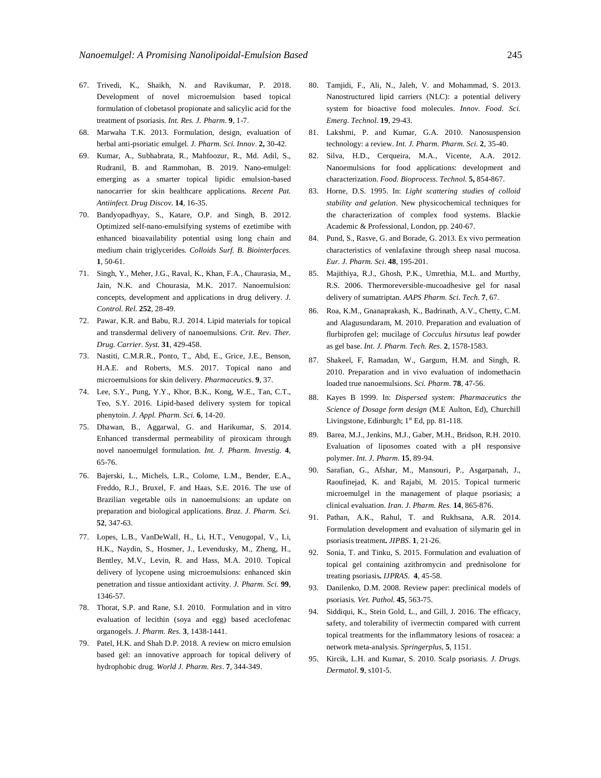- 67. Trivedi, K., Shaikh, N. and Ravikumar, P. 2018. Development of novel microemulsion based topical formulation of clobetasol propionate and salicylic acid for the treatment of psoriasis. *Int. Res. J. Pharm.* **9**, 1-7.
- 68. Marwaha T.K. 2013. Formulation, design, evaluation of herbal anti-psoriatic emulgel. *J. Pharm. Sci. Innov*. **2,** 30-42.
- 69. Kumar, A., Subhabrata, R., Mahfoozur, R., Md. Adil, S., Rudranil, B. and Rammohan, B. 2019. Nano-emulgel: emerging as a smarter topical lipidic emulsion-based nanocarrier for skin healthcare applications. *Recent Pat. Antiinfect. Drug Discov.* **14**, 16-35.
- 70. Bandyopadhyay, S., Katare, O.P. and Singh, B. 2012. Optimized self-nano-emulsifying systems of ezetimibe with enhanced bioavailability potential using long chain and medium chain triglycerides. *Colloids Surf. B. Biointerfaces*. **1**, 50-61.
- 71. Singh, Y., Meher, J.G., Raval, K., Khan, F.A., Chaurasia, M., Jain, N.K. and Chourasia, M.K. 2017. Nanoemulsion: concepts, development and applications in drug delivery. *J. Control. Rel.* **252**, 28-49.
- 72. Pawar, K.R. and Babu, R.J. 2014. Lipid materials for topical and transdermal delivery of nanoemulsions. *Crit. Rev. Ther. Drug. Carrier. Syst.* **31**, 429-458.
- 73. Nastiti, C.M.R.R., Ponto, T., Abd, E., Grice, J.E., Benson, H.A.E. and Roberts, M.S. 2017. Topical nano and microemulsions for skin delivery. *Pharmaceutics*. **9**, 37.
- 74. Lee, S.Y., Pung, Y.Y., Khor, B.K., Kong, W.E., Tan, C.T., Teo, S.Y. 2016. Lipid-based delivery system for topical phenytoin. *J. Appl. Pharm. Sci.* **6**, 14-20.
- 75. Dhawan, B., Aggarwal, G. and Harikumar, S. 2014. Enhanced transdermal permeability of piroxicam through novel nanoemulgel formulation. *Int. J. Pharm. Investig*. **4**, 65-76.
- 76. Bajerski, L., Michels, L.R., Colome, L.M., Bender, E.A., Freddo, R.J., Bruxel, F. and Haas, S.E. 2016. The use of Brazilian vegetable oils in nanoemulsions: an update on preparation and biological applications. *Braz. J. Pharm. Sci.* **52**, 347-63.
- 77. Lopes, L.B., VanDeWall, H., Li, H.T., Venugopal, V., Li, H.K., Naydin, S., Hosmer, J., Levendusky, M., Zheng, H., Bentley, M.V., Levin, R. and Hass, M.A. 2010. Topical delivery of lycopene using microemulsions: enhanced skin penetration and tissue antioxidant activity. *J. Pharm. Sci*. **99**, 1346-57.
- 78. Thorat, S.P. and Rane, S.I. 2010. Formulation and in vitro evaluation of lecithin (soya and egg) based aceclofenac organogels. *J. Pharm. Res.* **3**, 1438-1441.
- 79. Patel, H.K. and Shah D.P. 2018. A review on micro emulsion based gel: an innovative approach for topical delivery of hydrophobic drug. *World J. Pharm. Res*. **7**, 344-349.
- 80. Tamjidi, F., Ali, N., Jaleh, V. and Mohammad, S. 2013. Nanostructured lipid carriers (NLC): a potential delivery system for bioactive food molecules. *Innov. Food. Sci. Emerg. Technol.* **19**, 29-43.
- 81. Lakshmi, P. and Kumar, G.A. 2010. Nanosuspension technology: a review. *Int. J. Pharm. Pharm. Sci.* **2**, 35-40.
- 82. Silva, H.D., Cerqueira, M.A., Vicente, A.A. 2012. Nanoemulsions for food applications: development and characterization. *Food. Bioprocess. Technol.* **5,** 854-867.
- 83. Horne, D.S. 1995. In: *Light scattering studies of colloid stability and gelation*. New physicochemical techniques for the characterization of complex food systems. Blackie Academic & Professional, London, pp. 240-67.
- 84. Pund, S., Rasve, G. and Borade, G. 2013. Ex vivo permeation characteristics of venlafaxine through sheep nasal mucosa. *Eur. J. Pharm. Sci*. **48**, 195-201.
- 85. Majithiya, R.J., Ghosh, P.K., Umrethia, M.L. and Murthy, R.S. 2006. Thermoreversible-mucoadhesive gel for nasal delivery of sumatriptan. *AAPS Pharm. Sci. Tech*. **7**, 67.
- 86. Roa, K.M., Gnanaprakash, K., Badrinath, A.V., Chetty, C.M. and Alagusundaram, M. 2010. Preparation and evaluation of flurbiprofen gel; mucilage of *Cocculus hirsutus* leaf powder as gel base. *Int. J. Pharm. Tech. Res*. **2**, 1578-1583.
- 87. Shakeel, F, Ramadan, W., Gargum, H.M. and Singh, R. 2010. Preparation and in vivo evaluation of indomethacin loaded true nanoemulsions. *Sci. Pharm*. **78**, 47-56.
- 88. Kayes B 1999. In: *Dispersed system*: *Pharmaceutics the Science of Dosage form design* (M.E Aulton, Ed), Churchill Livingstone, Edinburgh; 1<sup>st</sup> Ed, pp. 81-118.
- 89. Barea, M.J., Jenkins, M.J., Gaber, M.H., Bridson, R.H. 2010. Evaluation of liposomes coated with a pH responsive polymer. *Int. J. Pharm*. **15**, 89-94.
- 90. Sarafian, G., Afshar, M., Mansouri, P., Asgarpanah, J., Raoufinejad, K. and Rajabi, M. 2015. Topical turmeric microemulgel in the management of plaque psoriasis; a clinical evaluation. *Iran. J. Pharm. Res.* **14**, 865-876.
- 91. Pathan, A.K., Rahul, T. and Rukhsana, A.R. 2014. Formulation development and evaluation of silymarin gel in psoriasis treatment**.** *JIPBS*. **1**, 21-26.
- 92. Sonia, T. and Tinku, S. 2015. Formulation and evaluation of topical gel containing azithromycin and prednisolone for treating psoriasis**.** *IJPRAS*. **4**, 45-58.
- 93. Danilenko, D.M. 2008. Review paper: preclinical models of psoriasis. *Vet. Pathol.* **45**, 563-75.
- 94. Siddiqui, K., Stein Gold, L., and Gill, J. 2016. The efficacy, safety, and tolerability of ivermectin compared with current topical treatments for the inflammatory lesions of rosacea: a network meta-analysis. *Springerplus*, **5**, 1151.
- 95. Kircik, L.H. and Kumar, S. 2010. Scalp psoriasis. *J. Drugs. Dermatol*. **9**, s101-5.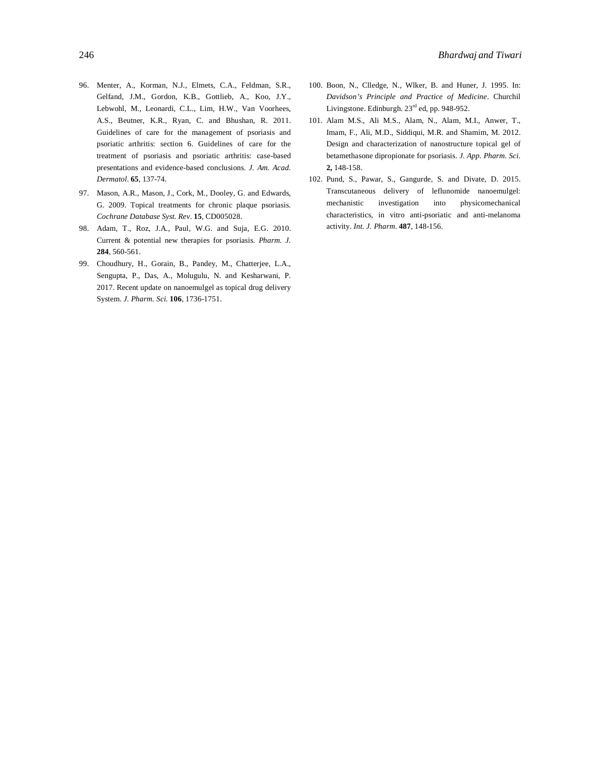- 96. Menter, A., Korman, N.J., Elmets, C.A., Feldman, S.R., Gelfand, J.M., Gordon, K.B., Gottlieb, A., Koo, J.Y., Lebwohl, M., Leonardi, C.L., Lim, H.W., Van Voorhees, A.S., Beutner, K.R., Ryan, C. and Bhushan, R. 2011. Guidelines of care for the management of psoriasis and psoriatic arthritis: section 6. Guidelines of care for the treatment of psoriasis and psoriatic arthritis: case-based presentations and evidence-based conclusions. *J. Am. Acad. Dermatol*. **65**, 137-74.
- 97. Mason, A.R., Mason, J., Cork, M., Dooley, G. and Edwards, G. 2009. Topical treatments for chronic plaque psoriasis. *Cochrane Database Syst. Rev*. **15**, CD005028.
- 98. Adam, T., Roz, J.A., Paul, W.G. and Suja, E.G. 2010. Current & potential new therapies for psoriasis. *Pharm. J.* **284**, 560-561.
- 99. Choudhury, H., Gorain, B., Pandey, M., Chatterjee, L.A., Sengupta, P., Das, A., Molugulu, N. and Kesharwani, P. 2017. Recent update on nanoemulgel as topical drug delivery System. *J. Pharm. Sci.* **106**, 1736-1751.
- 100. Boon, N., Clledge, N., Wlker, B. and Huner, J. 1995. In: *Davidson's Principle and Practice of Medicine*. Churchil Livingstone. Edinburgh. 23<sup>rd</sup> ed, pp. 948-952.
- 101. Alam M.S., Ali M.S., Alam, N., Alam, M.I., Anwer, T., Imam, F., Ali, M.D., Siddiqui, M.R. and Shamim, M. 2012. Design and characterization of nanostructure topical gel of betamethasone dipropionate for psoriasis. *J. App. Pharm. Sci*. **2,** 148-158.
- 102. Pund, S., Pawar, S., Gangurde, S. and Divate, D. 2015. Transcutaneous delivery of leflunomide nanoemulgel: mechanistic investigation into physicomechanical characteristics, in vitro anti-psoriatic and anti-melanoma activity. *Int. J. Pharm*. **487**, 148-156.